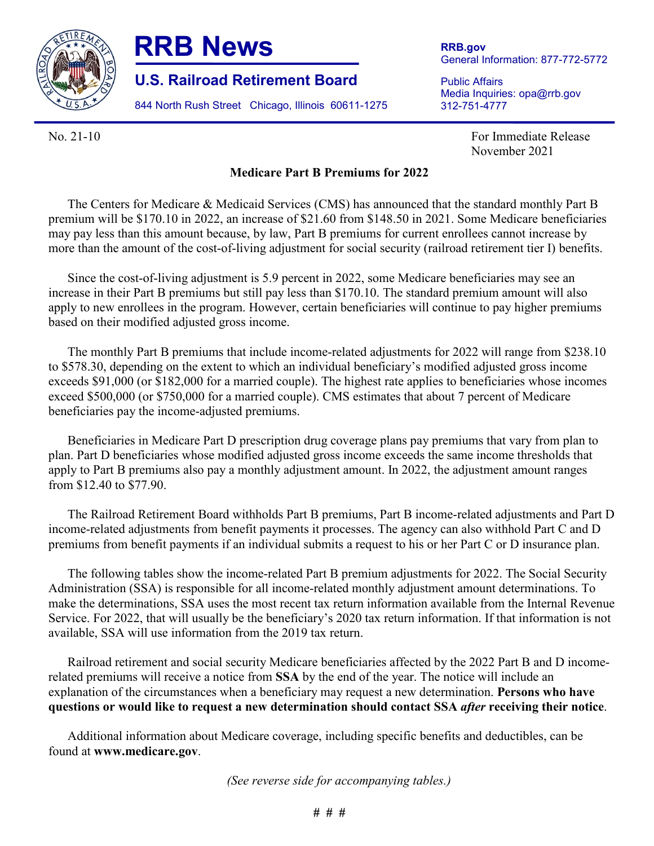

## **RRB News**

**U.S. Railroad Retirement Board**

844 North Rush Street Chicago, Illinois 60611-1275

**RRB.gov** General Information: 877-772-5772

Public Affairs Media Inquiries: opa@rrb.gov 312-751-4777

No. 21-10 **For Immediate Release** For Immediate Release November 2021

## **Medicare Part B Premiums for 2022**

The Centers for Medicare & Medicaid Services (CMS) has announced that the standard monthly Part B premium will be \$170.10 in 2022, an increase of \$21.60 from \$148.50 in 2021. Some Medicare beneficiaries may pay less than this amount because, by law, Part B premiums for current enrollees cannot increase by more than the amount of the cost-of-living adjustment for social security (railroad retirement tier I) benefits.

Since the cost-of-living adjustment is 5.9 percent in 2022, some Medicare beneficiaries may see an increase in their Part B premiums but still pay less than \$170.10. The standard premium amount will also apply to new enrollees in the program. However, certain beneficiaries will continue to pay higher premiums based on their modified adjusted gross income.

The monthly Part B premiums that include income-related adjustments for 2022 will range from \$238.10 to \$578.30, depending on the extent to which an individual beneficiary's modified adjusted gross income exceeds \$91,000 (or \$182,000 for a married couple). The highest rate applies to beneficiaries whose incomes exceed \$500,000 (or \$750,000 for a married couple). CMS estimates that about 7 percent of Medicare beneficiaries pay the income-adjusted premiums.

Beneficiaries in Medicare Part D prescription drug coverage plans pay premiums that vary from plan to plan. Part D beneficiaries whose modified adjusted gross income exceeds the same income thresholds that apply to Part B premiums also pay a monthly adjustment amount. In 2022, the adjustment amount ranges from \$12.40 to \$77.90.

The Railroad Retirement Board withholds Part B premiums, Part B income-related adjustments and Part D income-related adjustments from benefit payments it processes. The agency can also withhold Part C and D premiums from benefit payments if an individual submits a request to his or her Part C or D insurance plan.

The following tables show the income-related Part B premium adjustments for 2022. The Social Security Administration (SSA) is responsible for all income-related monthly adjustment amount determinations. To make the determinations, SSA uses the most recent tax return information available from the Internal Revenue Service. For 2022, that will usually be the beneficiary's 2020 tax return information. If that information is not available, SSA will use information from the 2019 tax return.

Railroad retirement and social security Medicare beneficiaries affected by the 2022 Part B and D incomerelated premiums will receive a notice from **SSA** by the end of the year. The notice will include an explanation of the circumstances when a beneficiary may request a new determination. **Persons who have questions or would like to request a new determination should contact SSA** *after* **receiving their notice**.

Additional information about Medicare coverage, including specific benefits and deductibles, can be found at **[www.medicare.gov](http://www.medicare.gov/)**.

*(See reverse side for accompanying tables.)*